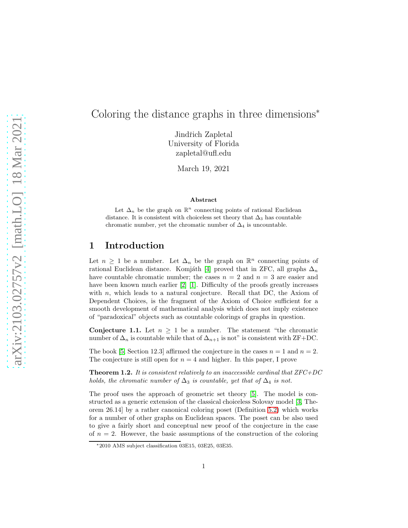# Coloring the distance graphs in three dimensions<sup>∗</sup>

Jindřich Zapletal University of Florida zapletal@ufl.edu

March 19, 2021

#### Abstract

Let  $\Delta_n$  be the graph on  $\mathbb{R}^n$  connecting points of rational Euclidean distance. It is consistent with choiceless set theory that  $\Delta_3$  has countable chromatic number, yet the chromatic number of  $\Delta_4$  is uncountable.

### 1 Introduction

Let  $n \geq 1$  be a number. Let  $\Delta_n$  be the graph on  $\mathbb{R}^n$  connecting points of rational Euclidean distance. Komjáth [\[4\]](#page-13-0) proved that in ZFC, all graphs  $\Delta_n$ have countable chromatic number; the cases  $n = 2$  and  $n = 3$  are easier and have been known much earlier [\[2\]](#page-13-1) [\[1\]](#page-13-2). Difficulty of the proofs greatly increases with  $n$ , which leads to a natural conjecture. Recall that DC, the Axiom of Dependent Choices, is the fragment of the Axiom of Choice sufficient for a smooth development of mathematical analysis which does not imply existence of "paradoxical" objects such as countable colorings of graphs in question.

<span id="page-0-0"></span>**Conjecture 1.1.** Let  $n \geq 1$  be a number. The statement "the chromatic number of  $\Delta_n$  is countable while that of  $\Delta_{n+1}$  is not" is consistent with ZF+DC.

The book [\[5,](#page-13-3) Section 12.3] affirmed the conjecture in the cases  $n = 1$  and  $n = 2$ . The conjecture is still open for  $n = 4$  and higher. In this paper, I prove

<span id="page-0-1"></span>Theorem 1.2. *It is consistent relatively to an inaccessible cardinal that ZFC+DC holds, the chromatic number of*  $\Delta_3$  *is countable, yet that of*  $\Delta_4$  *is not.* 

The proof uses the approach of geometric set theory [\[5\]](#page-13-3). The model is constructed as a generic extension of the classical choiceless Solovay model [\[3,](#page-13-4) Theorem 26.14] by a rather canonical coloring poset (Definition [5.2\)](#page-8-0) which works for a number of other graphs on Euclidean spaces. The poset can be also used to give a fairly short and conceptual new proof of the conjecture in the case of  $n = 2$ . However, the basic assumptions of the construction of the coloring

<sup>∗</sup>2010 AMS subject classification 03E15, 03E25, 03E35.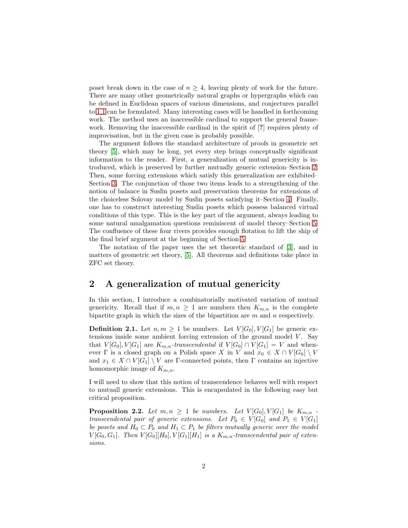poset break down in the case of  $n \geq 4$ , leaving plenty of work for the future. There are many other geometrically natural graphs or hypergraphs which can be defined in Euclidean spaces of various dimensions, and conjectures parallel to [1.1](#page-0-0) can be formulated. Many interesting cases will be handled in forthcoming work. The method uses an inaccessible cardinal to support the general framework. Removing the inaccessible cardinal in the spirit of [?] requires plenty of improvisation, but in the given case is probably possible.

The argument follows the standard architecture of proofs in geometric set theory [\[5\]](#page-13-3), which may be long, yet every step brings conceptually significant information to the reader. First, a generalization of mutual genericity is introduced, which is preserved by further mutually generic extension–Section [2.](#page-1-0) Then, some forcing extensions which satisfy this generalization are exhibited– Section [3.](#page-3-0) The conjunction of those two items leads to a strengthening of the notion of balance in Suslin posets and preservation theorems for extensions of the choiceless Solovay model by Suslin posets satisfying it–Section [4.](#page-6-0) Finally, one has to construct interesting Suslin posets which possess balanced virtual conditions of this type. This is the key part of the argument, always leading to some natural amalgamation questions reminiscent of model theory–Section [5.](#page-7-0) The confluence of these four rivers provides enough flotation to lift the ship of the final brief argument at the beginning of Section [5.](#page-7-0)

The notation of the paper uses the set theoretic standard of [\[3\]](#page-13-4), and in matters of geometric set theory, [\[5\]](#page-13-3). All theorems and definitions take place in ZFC set theory.

# <span id="page-1-0"></span>2 A generalization of mutual genericity

In this section, I introduce a combinatorially motivated variation of mutual genericity. Recall that if  $m, n \geq 1$  are numbers then  $K_{m,n}$  is the complete bipartite graph in which the sizes of the bipartition are  $m$  and  $n$  respectively.

<span id="page-1-1"></span>**Definition 2.1.** Let  $n, m \geq 1$  be numbers. Let  $V[G_0], V[G_1]$  be generic extensions inside some ambient forcing extension of the ground model  $V$ . Say that  $V[G_0], V[G_1]$  are  $K_{m,n}$ -transcendental if  $V[G_0] \cap V[G_1] = V$  and whenever  $\Gamma$  is a closed graph on a Polish space X in V and  $x_0 \in X \cap V[G_0] \setminus V$ and  $x_1 \in X \cap V[G_1] \setminus V$  are Γ-connected points, then Γ contains an injective homomorphic image of  $K_{m,n}$ .

I will need to show that this notion of transcendence behaves well with respect to mutuall generic extensions. This is encapsulated in the following easy but critical proposition.

<span id="page-1-2"></span>**Proposition 2.2.** Let  $m, n \geq 1$  be numbers. Let  $V[G_0], V[G_1]$  be  $K_{m,n}$ . *transcendental pair of generic extensions. Let*  $P_0 \in V[G_0]$  *and*  $P_1 \in V[G_1]$ *be posets and*  $H_0 \subset P_0$  *and*  $H_1 \subset P_1$  *be filters mutually generic over the model*  $V[G_0,G_1]$ . Then  $V[G_0][H_0],V[G_1][H_1]$  *is a*  $K_{m,n}$ -transcendental pair of exten*sions.*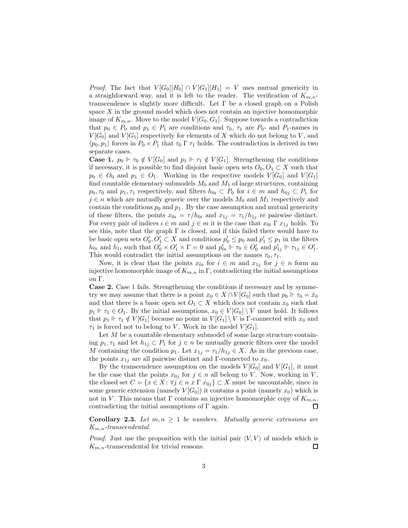*Proof.* The fact that  $V[G_0][H_0] \cap V[G_1][H_1] = V$  uses mutual genericity in a straighforward way, and it is left to the reader. The verification of  $K_{m,n}$ transcendence is slightly more difficult. Let Γ be a closed graph on a Polish space  $X$  in the ground model which does not contain an injective homomorphic image of  $K_{m,n}$ . Move to the model  $V[G_0,G_1]$ . Suppose towards a contradiction that  $p_0 \in P_0$  and  $p_1 \in P_1$  are conditions and  $\tau_0$ ,  $\tau_1$  are  $P_0$ - and  $P_1$ -names in  $V[G_0]$  and  $V[G_1]$  respectively for elements of X which do not belong to V, and  $\langle p_0, p_1 \rangle$  forces in  $P_0 \times P_1$  that  $\tau_0 \Gamma \tau_1$  holds. The contradiction is derived in two separate cases.

**Case 1.**  $p_0 \Vdash \tau_0 \notin V[G_0]$  and  $p_1 \Vdash \tau_1 \notin V[G_1]$ . Strengthening the conditions if necessary, it is possible to find disjoint basic open sets  $O_0, O_1 \subset X$  such that  $p_0 \in O_0$  and  $p_1 \in O_1$ . Working in the respective models  $V[G_0]$  and  $V[G_1]$ find countable elementary submodels  $M_0$  and  $M_1$  of large structures, containing  $p_0, \tau_0$  and  $p_1, \tau_1$  respectively, and filters  $h_{0i} \subset P_0$  for  $i \in m$  and  $h_{0j} \subset P_1$  for  $j \in n$  which are mutually generic over the models  $M_0$  and  $M_1$  respectively and contain the conditions  $p_0$  and  $p_1$ . By the case assumption and mutual genericity of these filters, the points  $x_{0i} = \tau/h_{0i}$  and  $x_{1j} = \tau_1/h_{1j}$  re pairwise distinct. For every pair of indices  $i \in m$  and  $j \in m$  it is the case that  $x_{0i} \Gamma x_{1j}$  holds. To see this, note that the graph  $\Gamma$  is closed, and if this failed there would have to be basic open sets  $O'_0, O'_1 \subset X$  and conditions  $p'_0 \leq p_0$  and  $p'_1 \leq p_1$  in the filters  $h_{0i}$  and  $h_{1i}$  such that  $O'_0 \times O'_1 \times \Gamma = 0$  and  $p'_{0i} \Vdash \tau_0 \in O'_0$  and  $p'_{1j} \Vdash \tau_{1j} \in O'_1$ . This would contradict the initial assumptions on the names  $\tau_0, \tau_1$ .

Now, it is clear that the points  $x_{0i}$  for  $i \in m$  and  $x_{1i}$  for  $j \in n$  form an injective homomorphic image of  $K_{m,n}$  in Γ, contradicting the initial assumptions on Γ.

Case 2. Case 1 fails. Strengthening the conditions if necessary and by symmetry we may assume that there is a point  $x_0 \in X \cap V[G_0]$  such that  $p_0 \Vdash \tau_0 = \check{x}_0$ and that there is a basic open set  $O_1 \subset X$  which does not contain  $x_0$  such that  $p_1 \Vdash \tau_1 \in O_1$ . By the initial assumptions,  $x_0 \in V[G_0] \setminus V$  must hold. It follows that  $p_1 \Vdash \tau_1 \notin V[G_1]$  because no point in  $V[G_1] \setminus V$  is  $\Gamma$ -connected with  $x_0$  and  $\tau_1$  is forced not to belong to V. Work in the model  $V[G_1]$ .

Let  $M$  be a countable elementary submodel of some large structure containing  $p_1, \tau_1$  and let  $h_{1j} \subset P_1$  for  $j \in n$  be mutually generic filters over the model M containing the condition  $p_1$ . Let  $x_{1j} = \tau_1/h_{1j} \in X$ . As in the previous case, the points  $x_{1j}$  are all pairwise distinct and Γ-connected to  $x_0$ .

By the transcendence assumption on the models  $V[G_0]$  and  $V[G_1]$ , it must be the case that the points  $x_{0j}$  for  $j \in n$  all belong to V. Now, working in V, the closed set  $C = \{x \in X : \forall j \in n \text{ or } \Gamma x_{0j}\} \subset X$  must be uncountable, since in some generic extension (namely  $V[G_0]$ ) it contains a point (namely  $x_0$ ) which is not in V. This means that Γ contains an injective homomorphic copy of  $K_{m,n}$ , contradicting the initial assumptions of Γ again. 口

**Corollary 2.3.** Let  $m, n \geq 1$  be numbers. Mutually generic extensions are Km,n*-transcendental.*

*Proof.* Just use the proposition with the initial pair  $\langle V, V \rangle$  of models which is  $K_{m,n}$ -transcendental for trivial reasons.  $\Box$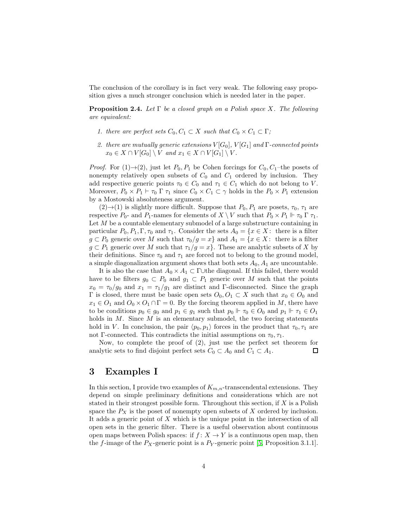The conclusion of the corollary is in fact very weak. The following easy proposition gives a much stronger conclusion which is needed later in the paper.

<span id="page-3-1"></span>Proposition 2.4. *Let* Γ *be a closed graph on a Polish space* X*. The following are equivalent:*

- *1. there are perfect sets*  $C_0, C_1 \subset X$  *such that*  $C_0 \times C_1 \subset \Gamma$ ;
- *2. there are mutually generic extensions*  $V[G_0]$ ,  $V[G_1]$  *and*  $\Gamma$ *-connected points*  $x_0 \in X \cap V[G_0] \setminus V$  and  $x_1 \in X \cap V[G_1] \setminus V$ *.*

*Proof.* For  $(1) \rightarrow (2)$ , just let  $P_0, P_1$  be Cohen forcings for  $C_0, C_1$ -the posets of nonempty relatively open subsets of  $C_0$  and  $C_1$  ordered by inclusion. They add respective generic points  $\tau_0 \in C_0$  and  $\tau_1 \in C_1$  which do not belong to V. Moreover,  $P_0 \times P_1 \vdash \tau_0 \Gamma \tau_1$  since  $C_0 \times C_1 \subset \gamma$  holds in the  $P_0 \times P_1$  extension by a Mostowski absoluteness argument.

 $(2) \rightarrow (1)$  is slightly more difficult. Suppose that  $P_0, P_1$  are posets,  $\tau_0, \tau_1$  are respective  $P_0$ - and  $P_1$ -names for elements of  $X \setminus V$  such that  $P_0 \times P_1 \Vdash \tau_0 \Gamma \tau_1$ . Let M be a countable elementary submodel of a large substructure containing in particular  $P_0, P_1, \Gamma, \tau_0$  and  $\tau_1$ . Consider the sets  $A_0 = \{x \in X: \text{ there is a filter }$  $g \subset P_0$  generic over M such that  $\tau_0/g = x$  and  $A_1 = \{x \in X : \text{ there is a filter }$  $g \subset P_1$  generic over M such that  $\tau_1/g = x$ . These are analytic subsets of X by their definitions. Since  $\tau_0$  and  $\tau_1$  are forced not to belong to the ground model, a simple diagonalization argument shows that both sets  $A_0$ ,  $A_1$  are uncountable.

It is also the case that  $A_0 \times A_1 \subset \Gamma \cup$ the diagonal. If this failed, there would have to be filters  $g_0 \,\subset P_0$  and  $g_1 \subset P_1$  generic over M such that the points  $x_0 = \tau_0/g_0$  and  $x_1 = \tau_1/g_1$  are distinct and Γ-disconnected. Since the graph  $Γ$  is closed, there must be basic open sets  $O_0$ ,  $O_1 ⊂ X$  such that  $x_0 ∈ O_0$  and  $x_1 \in O_1$  and  $O_0 \times O_1 \cap \Gamma = 0$ . By the forcing theorem applied in M, there have to be conditions  $p_0 \in g_0$  and  $p_1 \in g_1$  such that  $p_0 \Vdash \tau_0 \in O_0$  and  $p_1 \Vdash \tau_1 \in O_1$ holds in  $M$ . Since  $M$  is an elementary submodel, the two forcing statements hold in V. In conclusion, the pair  $\langle p_0, p_1 \rangle$  forces in the product that  $\tau_0, \tau_1$  are not Γ-connected. This contradicts the initial assumptions on  $\tau_0$ ,  $\tau_1$ .

Now, to complete the proof of (2), just use the perfect set theorem for analytic sets to find disjoint perfect sets  $C_0 \subset A_0$  and  $C_1 \subset A_1$ .  $\Box$ 

### <span id="page-3-0"></span>3 Examples I

In this section, I provide two examples of  $K_{m,n}$ -transcendental extensions. They depend on simple preliminary definitions and considerations which are not stated in their strongest possible form. Throughout this section, if  $X$  is a Polish space the  $P_X$  is the poset of nonempty open subsets of X ordered by inclusion. It adds a generic point of X which is the unique point in the intersection of all open sets in the generic filter. There is a useful observation about continuous open maps between Polish spaces: if  $f: X \to Y$  is a continuous open map, then the f-image of the  $P_X$ -generic point is a  $P_Y$ -generic point [\[5,](#page-13-3) Proposition 3.1.1].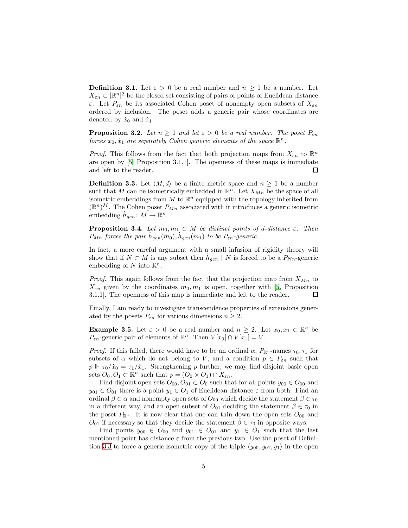**Definition 3.1.** Let  $\varepsilon > 0$  be a real number and  $n \geq 1$  be a number. Let  $X_{\varepsilon n} \subset [\mathbb{R}^n]^2$  be the closed set consisting of pairs of points of Euclidean distance ε. Let  $P_{\varepsilon n}$  be its associated Cohen poset of nonempty open subsets of  $X_{\varepsilon n}$ ordered by inclusion. The poset adds a generic pair whose coordinates are denoted by  $\dot{x}_0$  and  $\dot{x}_1$ .

<span id="page-4-3"></span>**Proposition 3.2.** Let  $n \geq 1$  and let  $\varepsilon > 0$  be a real number. The poset  $P_{\varepsilon n}$ *forces*  $\dot{x}_0, \dot{x}_1$  are separately Cohen generic elements of the space  $\mathbb{R}^n$ .

*Proof.* This follows from the fact that both projection maps from  $X_{\varepsilon n}$  to  $\mathbb{R}^n$ are open by [\[5,](#page-13-3) Proposition 3.1.1]. The openness of these maps is immediate and left to the reader. □

<span id="page-4-0"></span>**Definition 3.3.** Let  $\langle M, d \rangle$  be a finite metric space and  $n \geq 1$  be a number such that M can be isometrically embedded in  $\mathbb{R}^n$ . Let  $X_{Mn}$  be the space of all isometric embeddings from M to  $\mathbb{R}^n$  equipped with the topology inherited from  $(\mathbb{R}^n)^M$ . The Cohen poset  $P_{Mn}$  associated with it introduces a generic isometric embedding  $\dot{h}_{gen}: M \to \mathbb{R}^n$ .

<span id="page-4-1"></span>**Proposition 3.4.** *Let*  $m_0, m_1 \in M$  *be distinct points of d-distance*  $\varepsilon$ *. Then*  $P_{Mn}$  forces the pair  $\dot{h}_{gen}(m_0), \dot{h}_{gen}(m_1)$  to be  $P_{\varepsilon n}$ -generic.

In fact, a more careful argument with a small infusion of rigidity theory will show that if  $N \subset M$  is any subset then  $\dot{h}_{gen} \upharpoonright N$  is forced to be a  $P_{Nn}$ -generic embedding of N into  $\mathbb{R}^n$ .

*Proof.* This again follows from the fact that the projection map from  $X_{M_n}$  to  $X_{\epsilon n}$  given by the coordinates  $m_0, m_1$  is open, together with [\[5,](#page-13-3) Proposition 3.1.1]. The openness of this map is immediate and left to the reader. 口

Finally, I am ready to investigate transcendence properties of extensions generated by the posets  $P_{\varepsilon n}$  for various dimensions  $n \geq 2$ .

<span id="page-4-2"></span>**Example 3.5.** Let  $\varepsilon > 0$  be a real number and  $n \geq 2$ . Let  $x_0, x_1 \in \mathbb{R}^n$  be  $P_{\varepsilon n}$ -generic pair of elements of  $\mathbb{R}^n$ . Then  $V[x_0] \cap V[x_1] = V$ .

*Proof.* If this failed, there would have to be an ordinal  $\alpha$ ,  $P_{\mathbb{R}^n}$ -names  $\tau_0$ ,  $\tau_1$  for subsets of  $\alpha$  which do not belong to V, and a condition  $p \in P_{\varepsilon n}$  such that  $p \Vdash \tau_0/\dot{x}_0 = \tau_1/\dot{x}_1$ . Strengthening p further, we may find disjoint basic open sets  $O_0, O_1 \subset \mathbb{R}^n$  such that  $p = (O_0 \times O_1) \cap X_{\varepsilon n}$ .

Find disjoint open sets  $O_{00}$ ,  $O_{01} \subset O_0$  such that for all points  $y_{00} \in O_{00}$  and  $y_{01} \in O_{01}$  there is a point  $y_1 \in O_1$  of Euclidean distance  $\varepsilon$  from both. Find an ordinal  $\beta \in \alpha$  and nonempty open sets of  $O_{00}$  which decide the statement  $\check{\beta} \in \tau_0$ in a different way, and an open subset of  $O_{01}$  deciding the statement  $\beta \in \tau_0$  in the poset  $P_{\mathbb{R}^n}$ . It is now clear that one can thin down the open sets  $O_{00}$  and  $O_{01}$  if necessary so that they decide the statement  $\beta \in \tau_0$  in opposite ways.

Find points  $y_{00} \in O_{00}$  and  $y_{01} \in O_{01}$  and  $y_1 \in O_1$  such that the last mentioned point has distance  $\varepsilon$  from the previous two. Use the poset of Defini-tion [3.3](#page-4-0) to force a generic isometric copy of the triple  $\langle y_{00}, y_{01}, y_1 \rangle$  in the open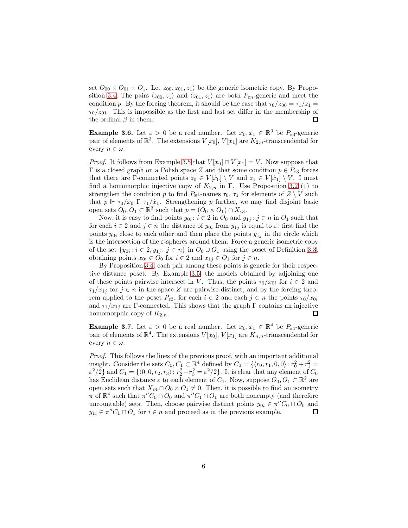set  $O_{00} \times O_{01} \times O_1$ . Let  $z_{00}, z_{01}, z_1$  be the generic isometric copy. By Propo-sition [3.4,](#page-4-1) The pairs  $\langle z_{00}, z_1 \rangle$  and  $\langle z_{01}, z_1 \rangle$  are both  $P_{\varepsilon n}$ -generic and meet the condition p. By the forcing theorem, it should be the case that  $\tau_0/z_{00} = \tau_1/z_1 =$  $\tau_0/z_{01}$ . This is impossible as the first and last set differ in the membership of the ordinal  $\beta$  in them. П

<span id="page-5-1"></span>**Example 3.6.** Let  $\varepsilon > 0$  be a real number. Let  $x_0, x_1 \in \mathbb{R}^3$  be  $P_{\varepsilon 3}$ -generic pair of elements of  $\mathbb{R}^3$ . The extensions  $V[x_0]$ ,  $V[x_1]$  are  $K_{2,n}$ -transcendental for every  $n \in \omega$ .

*Proof.* It follows from Example [3.5](#page-4-2) that  $V[x_0] \cap V[x_1] = V$ . Now suppose that  $Γ$  is a closed graph on a Polish space  $Z$  and that some condition  $p ∈ P_{ε3}$  forces that there are Γ-connected points  $z_0 \in V[\dot{x}_0] \setminus V$  and  $z_1 \in V[\dot{x}_1] \setminus V$ . I must find a homomorphic injective copy of  $K_{2,n}$  in Γ. Use Proposition [3.2](#page-4-3) (1) to strengthen the condition p to find  $P_{\mathbb{R}^3}$ -names  $\tau_0$ ,  $\tau_1$  for elements of  $Z \setminus V$  such that  $p \Vdash \tau_0/\dot{x}_0 \Gamma \tau_1/\dot{x}_1$ . Strengthening p further, we may find disjoint basic open sets  $O_0, O_1 \subset \mathbb{R}^3$  such that  $p = (O_0 \times O_1) \cap X_{\varepsilon 3}$ .

Now, it is easy to find points  $y_{0i}$ :  $i \in 2$  in  $O_0$  and  $y_{1j}$ :  $j \in n$  in  $O_1$  such that for each  $i \in 2$  and  $j \in n$  the distance of  $y_{0i}$  from  $y_{1j}$  is equal to  $\varepsilon$ : first find the points  $y_{0i}$  close to each other and then place the points  $y_{1j}$  in the circle which is the intersection of the  $\varepsilon$ -spheres around them. Force a generic isometric copy of the set  $\{y_{0i}: i \in 2, y_{1j}: j \in n\}$  in  $O_0 \cup O_1$  using the poset of Definition [3.3,](#page-4-0) obtaining points  $x_{0i} \in O_0$  for  $i \in 2$  and  $x_{1j} \in O_1$  for  $j \in n$ .

By Proposition [3.4,](#page-4-1) each pair among these points is generic for their respective distance poset. By Example [3.5,](#page-4-2) the models obtained by adjoining one of these points pairwise intersect in V. Thus, the points  $\tau_0/x_{0i}$  for  $i \in 2$  and  $\tau_1/x_{1j}$  for  $j \in n$  in the space Z are pairwise distinct, and by the forcing theorem applied to the poset  $P_{\varepsilon 3}$ , for each  $i \in 2$  and each  $j \in n$  the points  $\tau_0/x_{0i}$ and  $\tau_1/x_{1i}$  are Γ-connected. This shows that the graph Γ contains an injective homomorphic copy of  $K_{2,n}$ .  $\Box$ 

<span id="page-5-0"></span>**Example 3.7.** Let  $\varepsilon > 0$  be a real number. Let  $x_0, x_1 \in \mathbb{R}^4$  be  $P_{\varepsilon 4}$ -generic pair of elements of  $\mathbb{R}^4$ . The extensions  $V[x_0], V[x_1]$  are  $K_{n,n}$ -transcendental for every  $n \in \omega$ .

*Proof.* This follows the lines of the previous proof, with an important additional insight. Consider the sets  $C_0, C_1 \subset \mathbb{R}^4$  defined by  $C_0 = \{ \langle r_0, r_1, 0, 0 \rangle : r_0^2 + r_1^2 = \}$  $\varepsilon^2/2$ } and  $C_1 = \{ (0, 0, r_2, r_3): r_2^2 + r_3^2 = \varepsilon^2/2 \}$ . It is clear that any element of  $C_0$ has Euclidean distance  $\varepsilon$  to each element of  $C_1$ . Now, suppose  $O_0, O_1 \subset \mathbb{R}^2$  are open sets such that  $X_{\varepsilon 4} \cap O_0 \times O_1 \neq 0$ . Then, it is possible to find an isometry  $\pi$  of  $\mathbb{R}^4$  such that  $\pi''C_0 \cap O_0$  and  $\pi''C_1 \cap O_1$  are both nonempty (and therefore uncountable) sets. Then, choose pairwise distinct points  $y_{0i} \in \pi'' C_0 \cap O_0$  and  $y_{1i} \in \pi''C_1 \cap O_1$  for  $i \in n$  and proceed as in the previous example.  $\Box$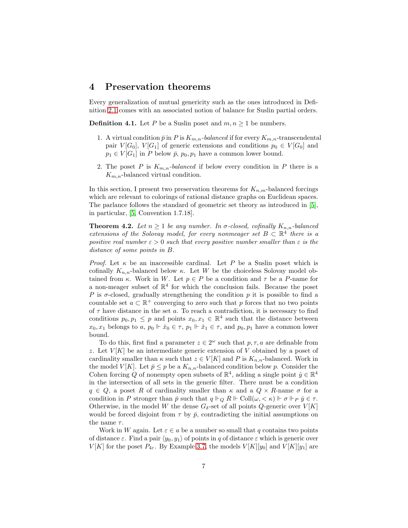#### <span id="page-6-0"></span>4 Preservation theorems

Every generalization of mutual genericity such as the ones introduced in Definition [2.1](#page-1-1) comes with an associated notion of balance for Suslin partial orders.

**Definition 4.1.** Let P be a Suslin poset and  $m, n \geq 1$  be numbers.

- 1. A virtual condition  $\bar{p}$  in P is  $K_{m,n}$ -balanced if for every  $K_{m,n}$ -transcendental pair  $V[G_0]$ ,  $V[G_1]$  of generic extensions and conditions  $p_0 \in V[G_0]$  and  $p_1 \in V[G_1]$  in P below  $\bar{p}$ ,  $p_0, p_1$  have a common lower bound.
- 2. The poset  $P$  is  $K_{m,n}$ -balanced if below every condition in  $P$  there is a  $K_{m,n}$ -balanced virtual condition.

In this section, I present two preservation theorems for  $K_{n,m}$ -balanced forcings which are relevant to colorings of rational distance graphs on Euclidean spaces. The parlance follows the standard of geometric set theory as introduced in [\[5\]](#page-13-3), in particular, [\[5,](#page-13-3) Convention 1.7.18].

<span id="page-6-1"></span>**Theorem 4.2.** *Let*  $n \geq 1$  *be any number. In*  $\sigma$ -closed, cofinally  $K_{n,n}$ -balanced *extensions of the Solovay model, for every nonmeager set*  $B \subset \mathbb{R}^4$  *there is a positive real number*  $\varepsilon > 0$  *such that every positive number smaller than*  $\varepsilon$  *is the distance of some points in* B*.*

*Proof.* Let  $\kappa$  be an inaccessible cardinal. Let P be a Suslin poset which is cofinally  $K_{n,n}$ -balanced below κ. Let W be the choiceless Solovay model obtained from κ. Work in W. Let  $p \in P$  be a condition and  $\tau$  be a P-name for a non-meager subset of  $\mathbb{R}^4$  for which the conclusion fails. Because the poset P is  $\sigma$ -closed, gradually strengthening the condition p it is possible to find a countable set  $a \subset \mathbb{R}^+$  converging to zero such that p forces that no two points of  $\tau$  have distance in the set  $a$ . To reach a contradiction, it is necessary to find conditions  $p_0, p_1 \leq p$  and points  $x_0, x_1 \in \mathbb{R}^4$  such that the distance between  $x_0, x_1$  belongs to  $a, p_0 \Vdash \check{x}_0 \in \tau$ ,  $p_1 \Vdash \check{x}_1 \in \tau$ , and  $p_0, p_1$  have a common lower bound.

To do this, first find a parameter  $z \in 2^{\omega}$  such that  $p, \tau, a$  are definable from z. Let  $V[K]$  be an intermediate generic extension of V obtained by a poset of cardinality smaller than  $\kappa$  such that  $z \in V[K]$  and P is  $K_{n,n}$ -balanced. Work in the model  $V[K]$ . Let  $\bar{p} \leq p$  be a  $K_{n,n}$ -balanced condition below p. Consider the Cohen forcing Q of nonempty open subsets of  $\mathbb{R}^4$ , adding a single point  $\dot{y} \in \mathbb{R}^4$ in the intersection of all sets in the generic filter. There must be a condition  $q \in Q$ , a poset R of cardinality smaller than  $\kappa$  and a  $Q \times R$ -name  $\sigma$  for a condition in P stronger than  $\bar{p}$  such that  $q \Vdash_Q R \Vdash \text{Coll}(\omega, \langle \kappa \rangle \Vdash \sigma \Vdash_P \dot{y} \in \tau$ . Otherwise, in the model W the dense  $G_{\delta}$ -set of all points Q-generic over  $V[K]$ would be forced disjoint from  $\tau$  by  $\bar{p}$ , contradicting the initial assumptions on the name  $\tau$ .

Work in W again. Let  $\varepsilon \in a$  be a number so small that q contains two points of distance  $\varepsilon$ . Find a pair  $\langle y_0, y_1 \rangle$  of points in q of distance  $\varepsilon$  which is generic over  $V[K]$  for the poset  $P_{4\varepsilon}$ . By Example [3.7,](#page-5-0) the models  $V[K][y_0]$  and  $V[K][y_1]$  are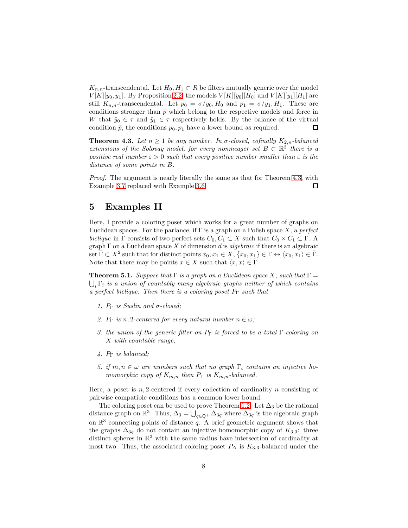$K_{n,n}$ -transcendental. Let  $H_0, H_1 \subset R$  be filters mutually generic over the model  $V[K][y_0, y_1]$ . By Proposition [2.2,](#page-1-2) the models  $V[K][y_0][H_0]$  and  $V[K][y_1][H_1]$  are still  $K_{n,n}$ -transcendental. Let  $p_0 = \sigma/y_0, H_0$  and  $p_1 = \sigma/y_1, H_1$ . These are conditions stronger than  $\bar{p}$  which belong to the respective models and force in W that  $\check{y}_0 \in \tau$  and  $\check{y}_1 \in \tau$  respectively holds. By the balance of the virtual condition  $\bar{p}$ , the conditions  $p_0, p_1$  have a lower bound as required.  $\Box$ 

<span id="page-7-1"></span>**Theorem 4.3.** *Let*  $n \geq 1$  *be any number. In*  $\sigma$ -closed, cofinally  $K_{2,n}$ -balanced *extensions of the Solovay model, for every nonmeager set*  $B \subset \mathbb{R}^3$  *there is a positive real number*  $\varepsilon > 0$  *such that every positive number smaller than*  $\varepsilon$  *is the distance of some points in* B*.*

*Proof.* The argument is nearly literally the same as that for Theorem [4.3,](#page-7-1) with Example [3.7](#page-5-0) replaced with Example [3.6.](#page-5-1) П

# <span id="page-7-0"></span>5 Examples II

Here, I provide a coloring poset which works for a great number of graphs on Euclidean spaces. For the parlance, if Γ is a graph on a Polish space X, a *perfect biclique* in Γ consists of two perfect sets  $C_0, C_1 \subset X$  such that  $C_0 \times C_1 \subset \Gamma$ . A graph Γ on a Euclidean space X of dimension d is *algebraic* if there is an algebraic set  $\overline{\Gamma} \subset X^2$  such that for distinct points  $x_0, x_1 \in X$ ,  $\{x_0, x_1\} \in \Gamma \leftrightarrow \langle x_0, x_1 \rangle \in \overline{\Gamma}$ . Note that there may be points  $x \in X$  such that  $\langle x, x \rangle \in \overline{\Gamma}$ .

<span id="page-7-2"></span>**Theorem 5.1.** *Suppose that*  $\Gamma$  *is a graph on a Euclidean space* X, such that  $\Gamma$  =  $\bigcup_i \Gamma_i$  *is a union of countably many algebraic graphs neither of which contains a perfect biclique. Then there is a coloring poset* P<sup>Γ</sup> *such that*

- *1.*  $P_{\Gamma}$  *is Suslin and*  $\sigma$ *-closed;*
- 2.  $P_{\Gamma}$  *is* n, 2-centered for every natural number  $n \in \omega$ ;
- *3. the union of the generic filter on* P<sup>Γ</sup> *is forced to be a total* Γ*-coloring on* X *with countable range;*
- *4.* P<sup>Γ</sup> *is balanced;*
- *5. if*  $m, n \in \omega$  *are numbers such that no graph*  $\Gamma_i$  *contains an injective homomorphic copy of*  $K_{m,n}$  *then*  $P_{\Gamma}$  *is*  $K_{m,n}$ *-balanced.*

Here, a poset is n, 2-centered if every collection of cardinality n consisting of pairwise compatible conditions has a common lower bound.

The coloring poset can be used to prove Theorem [1.2.](#page-0-1) Let  $\Delta_3$  be the rational distance graph on  $\mathbb{R}^3$ . Thus,  $\Delta_3 = \bigcup_{q \in \mathbb{Q}^+} \Delta_{3q}$  where  $\Delta_{3q}$  is the algebraic graph on  $\mathbb{R}^3$  connecting points of distance q. A brief geometric argument shows that the graphs  $\Delta_{3q}$  do not contain an injective homomorphic copy of  $K_{3,3}$ : three distinct spheres in  $\mathbb{R}^3$  with the same radius have intersection of cardinality at most two. Thus, the associated coloring poset  $P_{\Delta}$  is  $K_{3,3}$ -balanced under the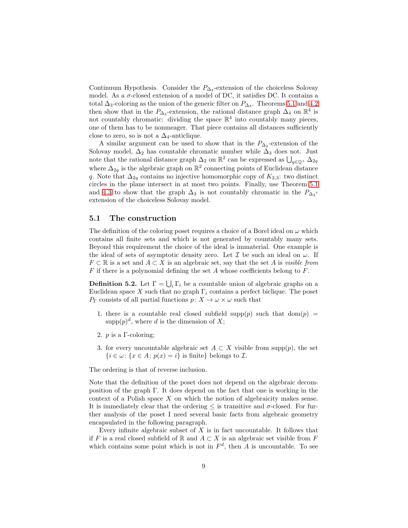Continuum Hypothesis. Consider the  $P_{\Delta_3}$ -extension of the choiceless Solovay model. As a  $\sigma$ -closed extension of a model of DC, it satisfies DC. It contains a total  $\Delta_3$ -coloring as the union of the generic filter on  $P_{\Delta_3}$ . Theorems [5.1](#page-7-2) and [4.2](#page-6-1) then show that in the  $P_{\Delta_3}$ -extension, the rational distance graph  $\Delta_4$  on  $\mathbb{R}^4$  is not countably chromatic: dividing the space  $\mathbb{R}^4$  into countably many pieces, one of them has to be nonmeager. That piece contains all distances sufficiently close to zero, so is not a  $\Delta_4$ -anticlique.

A similar argument can be used to show that in the  $P_{\Delta_2}$ -extension of the Solovay model,  $\Delta_2$  has countable chromatic number while  $\Delta_3$  does not. Just note that the rational distance graph  $\Delta_2$  on  $\mathbb{R}^2$  can be expressed as  $\bigcup_{q\in\mathbb{Q}^+}\Delta_{2q}$ where  $\Delta_{2q}$  is the algebraic graph on  $\mathbb{R}^2$  connecting points of Euclidean distance q. Note that  $\Delta_{2q}$  contains no injective homomorphic copy of  $K_{2,3}$ : two distinct circles in the plane intersect in at most two points. Finally, use Theorem [5.1](#page-7-2) and [4.3](#page-7-1) to show that the graph  $\Delta_3$  is not countably chromatic in the  $P_{\Delta_2}$ extension of the choiceless Solovay model.

#### 5.1 The construction

The definition of the coloring poset requires a choice of a Borel ideal on  $\omega$  which contains all finite sets and which is not generated by countably many sets. Beyond this requirement the choice of the ideal is immaterial. One example is the ideal of sets of asymptotic density zero. Let  $\mathcal I$  be such an ideal on  $\omega$ . If  $F \subset \mathbb{R}$  is a set and  $A \subset X$  is an algebraic set, say that the set A is *visible from*  $F$  if there is a polynomial defining the set  $A$  whose coefficients belong to  $F$ .

<span id="page-8-0"></span>**Definition 5.2.** Let  $\Gamma = \bigcup_i \Gamma_i$  be a countable union of algebraic graphs on a Euclidean space X such that no graph  $\Gamma_i$  contains a perfect biclique. The poset  $P_{\Gamma}$  consists of all partial functions  $p: X \to \omega \times \omega$  such that

- 1. there is a countable real closed subfield supp(p) such that dom(p) =  $\text{supp}(p)^d$ , where d is the dimension of X;
- 2. p is a Γ-coloring;
- 3. for every uncountable algebraic set  $A \subset X$  visible from supp $(p)$ , the set  $\{i \in \omega : \{x \in A : p(x) = i\} \text{ is finite} \}$  belongs to  $\mathcal{I}$ .

The ordering is that of reverse inclusion.

Note that the definition of the poset does not depend on the algebraic decomposition of the graph Γ. It does depend on the fact that one is working in the context of a Polish space  $X$  on which the notion of algebraicity makes sense. It is immediately clear that the ordering  $\leq$  is transitive and  $\sigma$ -closed. For further analysis of the poset I need several basic facts from algebraic geometry encapsulated in the following paragraph.

Every infinite algebraic subset of  $X$  is in fact uncountable. It follows that if F is a real closed subfield of R and  $A \subset X$  is an algebraic set visible from F which contains some point which is not in  $F^d$ , then A is uncountable. To see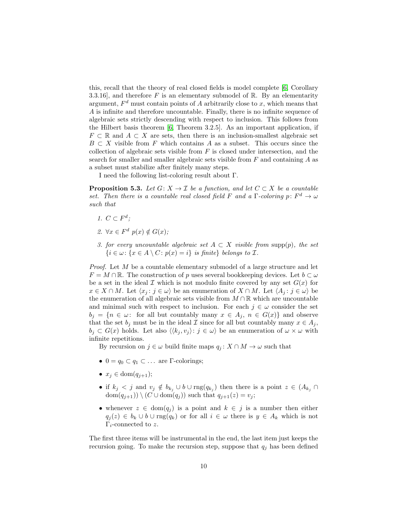this, recall that the theory of real closed fields is model complete [\[6,](#page-14-0) Corollary 3.3.16], and therefore  $F$  is an elementary submodel of  $\mathbb{R}$ . By an elementarity argument,  $F<sup>d</sup>$  must contain points of A arbitrarily close to x, which means that A is infinite and therefore uncountable. Finally, there is no infinite sequence of algebraic sets strictly descending with respect to inclusion. This follows from the Hilbert basis theorem [\[6,](#page-14-0) Theorem 3.2.5]. As an important application, if  $F \subset \mathbb{R}$  and  $A \subset X$  are sets, then there is an inclusion-smallest algebraic set  $B \subset X$  visible from F which contains A as a subset. This occurs since the collection of algebraic sets visible from  $F$  is closed under intersection, and the search for smaller and smaller algebraic sets visible from  $F$  and containing  $A$  as a subset must stabilize after finitely many steps.

I need the following list-coloring result about Γ.

<span id="page-9-0"></span>**Proposition 5.3.** *Let*  $G: X \to \mathcal{I}$  *be a function, and let*  $C \subset X$  *be a countable set.* Then there is a countable real closed field F and a  $\Gamma$ -coloring  $p: F^d \to \omega$ *such that*

- 1.  $C \subset F^d$ ;
- 2.  $\forall x \in F^d$   $p(x) \notin G(x)$ *;*
- *3. for every uncountable algebraic set* A ⊂ X *visible from* supp(p)*, the set*  $\{i \in \omega : \{x \in A \setminus C : p(x) = i\} \text{ is finite} \}$  belongs to  $\mathcal{I}$ .

*Proof.* Let M be a countable elementary submodel of a large structure and let  $F = M \cap \mathbb{R}$ . The construction of p uses several bookkeeping devices. Let  $b \subset \omega$ be a set in the ideal I which is not modulo finite covered by any set  $G(x)$  for  $x \in X \cap M$ . Let  $\langle x_i : j \in \omega \rangle$  be an enumeration of  $X \cap M$ . Let  $\langle A_i : j \in \omega \rangle$  be the enumeration of all algebraic sets visible from  $M \cap \mathbb{R}$  which are uncountable and minimal such with respect to inclusion. For each  $j \in \omega$  consider the set  $b_j = \{n \in \omega: \text{ for all but countably many } x \in A_j, n \in G(x)\}\$ and observe that the set  $b_j$  must be in the ideal  $\mathcal I$  since for all but countably many  $x \in A_j$ ,  $b_j \subset G(x)$  holds. Let also  $\langle \langle k_j, v_j \rangle : j \in \omega \rangle$  be an enumeration of  $\omega \times \omega$  with infinite repetitions.

By recursion on  $j \in \omega$  build finite maps  $q_j : X \cap M \to \omega$  such that

- $0 = q_0 \subset q_1 \subset \dots$  are Γ-colorings;
- $x_j \in \text{dom}(q_{j+1});$
- if  $k_j < j$  and  $v_j \notin b_{k_j} \cup b \cup \text{rng}(q_{k_j})$  then there is a point  $z \in (A_{k_j} \cap$  $dom(q_{j+1}) \setminus (C \cup dom(q_j))$  such that  $q_{j+1}(z) = v_j$ ;
- whenever  $z \in \text{dom}(q_j)$  is a point and  $k \in j$  is a number then either  $q_j(z) \in b_k \cup b \cup \text{rng}(q_k)$  or for all  $i \in \omega$  there is  $y \in A_k$  which is not  $\Gamma_i$ -connected to z.

The first three items will be instrumental in the end, the last item just keeps the recursion going. To make the recursion step, suppose that  $q_j$  has been defined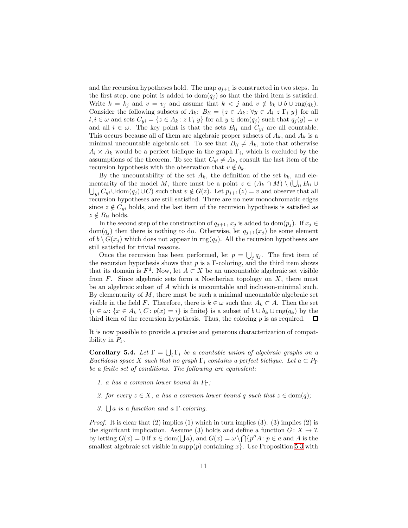and the recursion hypotheses hold. The map  $q_{j+1}$  is constructed in two steps. In the first step, one point is added to  $dom(q_i)$  so that the third item is satisfied. Write  $k = k_j$  and  $v = v_j$  and assume that  $k < j$  and  $v \notin b_k \cup b \cup \text{rng}(q_k)$ . Consider the following subsets of  $A_k$ :  $B_{li} = \{z \in A_k : \forall y \in A_l \; z \; \Gamma_i \; y\}$  for all  $l, i \in \omega$  and sets  $C_{yi} = \{z \in A_k : z \Gamma_i y\}$  for all  $y \in \text{dom}(q_j)$  such that  $q_j(y) = v$ and all  $i \in \omega$ . The key point is that the sets  $B_{li}$  and  $C_{yi}$  are all countable. This occurs because all of them are algebraic proper subsets of  $A_k$ , and  $A_k$  is a minimal uncountable algebraic set. To see that  $B_{li} \neq A_k$ , note that otherwise  $A_l \times A_k$  would be a perfect biclique in the graph  $\Gamma_i$ , which is excluded by the assumptions of the theorem. To see that  $C_{yi} \neq A_k$ , consult the last item of the recursion hypothesis with the observation that  $v \notin b_k$ .

By the uncountability of the set  $A_k$ , the definition of the set  $b_k$ , and elementarity of the model M, there must be a point  $z \in (A_k \cap M) \setminus (\bigcup_{i} B_{li} \cup$  $\bigcup_{yi} C_{yi} \cup \text{dom}(q_j) \cup C$  such that  $v \notin G(z)$ . Let  $p_{j+1}(z) = v$  and observe that all recursion hypotheses are still satisfied. There are no new monochromatic edges since  $z \notin C_{yi}$  holds, and the last item of the recursion hypothesis is satisfied as  $z \notin B_{li}$  holds.

In the second step of the construction of  $q_{j+1}, x_j$  is added to dom $(p_j)$ . If  $x_j \in$  $dom(q_i)$  then there is nothing to do. Otherwise, let  $q_{i+1}(x_i)$  be some element of  $b \setminus G(x_i)$  which does not appear in rng $(q_i)$ . All the recursion hypotheses are still satisfied for trivial reasons.

Once the recursion has been performed, let  $p = \bigcup_j q_j$ . The first item of the recursion hypothesis shows that  $p$  is a  $\Gamma$ -coloring, and the third item shows that its domain is  $F^d$ . Now, let  $A \subset X$  be an uncountable algebraic set visible from  $F$ . Since algebraic sets form a Noetherian topology on  $X$ , there must be an algebraic subset of A which is uncountable and inclusion-minimal such. By elementarity of  $M$ , there must be such a minimal uncountable algebraic set visible in the field F. Therefore, there is  $k \in \omega$  such that  $A_k \subset A$ . Then the set  ${i \in \omega \colon {x \in A_k \setminus C : p(x) = i}$  is finite} is a subset of  $b \cup b_k \cup \text{rng}(q_k)$  by the third item of the recursion hypothesis. Thus, the coloring  $p$  is as required.  $\Box$ 

It is now possible to provide a precise and generous characterization of compatibility in  $P_\Gamma$ .

<span id="page-10-0"></span>**Corollary 5.4.** Let  $\Gamma = \bigcup_i \Gamma_i$  be a countable union of algebraic graphs on a *Euclidean space* X *such that no graph*  $\Gamma_i$  *contains a perfect biclique. Let*  $a \subset P_{\Gamma}$ *be a finite set of conditions. The following are equivalent:*

- *1.* a *has a common lower bound in* PΓ*;*
- 2. for every  $z \in X$ , a has a common lower bound q such that  $z \in \text{dom}(q)$ ;
- 3.  $\bigcup a$  *is a function and a* Γ*-coloring.*

*Proof.* It is clear that (2) implies (1) which in turn implies (3). (3) implies (2) is the significant implication. Assume (3) holds and define a function  $G: X \to \mathcal{I}$ by letting  $G(x) = 0$  if  $x \in \text{dom}(\bigcup a)$ , and  $G(x) = \omega \setminus \bigcap \{p''A : p \in a \text{ and } A \text{ is the } \}$ smallest algebraic set visible in supp $(p)$  containing x. Use Proposition [5.3](#page-9-0) with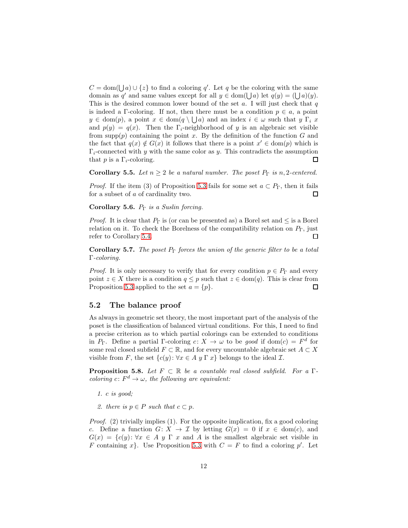$C = \text{dom}(\bigcup a) \cup \{z\}$  to find a coloring q'. Let q be the coloring with the same domain as q' and same values except for all  $y \in \text{dom}(\bigcup a)$  let  $q(y) = (\bigcup a)(y)$ . This is the desired common lower bound of the set a. I will just check that q is indeed a Γ-coloring. If not, then there must be a condition  $p \in a$ , a point  $y \in \text{dom}(p)$ , a point  $x \in \text{dom}(q \setminus \bigcup a)$  and an index  $i \in \omega$  such that  $y \Gamma_i x$ and  $p(y) = q(x)$ . Then the Γ<sub>i</sub>-neighborhood of y is an algebraic set visible from supp $(p)$  containing the point x. By the definition of the function G and the fact that  $q(x) \notin G(x)$  it follows that there is a point  $x' \in \text{dom}(p)$  which is  $\Gamma_i$ -connected with y with the same color as y. This contradicts the assumption that p is a  $\Gamma_i$ -coloring.  $\Box$ 

**Corollary 5.5.** *Let*  $n \geq 2$  *be a natural number. The poset*  $P_{\Gamma}$  *is* n, 2-centered.

*Proof.* If the item (3) of Proposition [5.3](#page-9-0) fails for some set  $a \text{ }\subset P_\Gamma$ , then it fails for a subset of a of cardinality two.  $\Box$ 

Corollary 5.6. P<sup>Γ</sup> *is a Suslin forcing.*

*Proof.* It is clear that  $P_{\Gamma}$  is (or can be presented as) a Borel set and  $\leq$  is a Borel relation on it. To check the Borelness of the compatibility relation on  $P_{\Gamma}$ , just refer to Corollary [5.4.](#page-10-0)  $\Box$ 

Corollary 5.7. *The poset* P<sup>Γ</sup> *forces the union of the generic filter to be a total* Γ*-coloring.*

*Proof.* It is only necessary to verify that for every condition  $p \in P_{\Gamma}$  and every point  $z \in X$  there is a condition  $q \leq p$  such that  $z \in \text{dom}(q)$ . This is clear from Proposition [5.3](#page-9-0) applied to the set  $a = \{p\}.$  $\Box$ 

#### 5.2 The balance proof

As always in geometric set theory, the most important part of the analysis of the poset is the classification of balanced virtual conditions. For this, I need to find a precise criterion as to which partial colorings can be extended to conditions in  $P_{\Gamma}$ . Define a partial  $\Gamma$ -coloring  $c: X \to \omega$  to be good if dom $(c) = F^d$  for some real closed subfield  $F \subset \mathbb{R}$ , and for every uncountable algebraic set  $A \subset X$ visible from F, the set  $\{c(y): \forall x \in A \text{ } y \in X\}$  belongs to the ideal  $\mathcal{I}$ .

**Proposition 5.8.** *Let*  $F \subset \mathbb{R}$  *be a countable real closed subfield. For a*  $\Gamma$ *coloring*  $c: F^d \to \omega$ *, the following are equivalent:* 

*1.* c *is good;*

2. there is  $p \in P$  *such that*  $c \subset p$ .

*Proof.* (2) trivially implies (1). For the opposite implication, fix a good coloring c. Define a function  $G: X \to \mathcal{I}$  by letting  $G(x) = 0$  if  $x \in dom(c)$ , and  $G(x) = \{c(y): \forall x \in A \mid y \in X \text{ and } A \text{ is the smallest algebraic set visible in } \}$ F containing x. Use Proposition [5.3](#page-9-0) with  $C = F$  to find a coloring p'. Let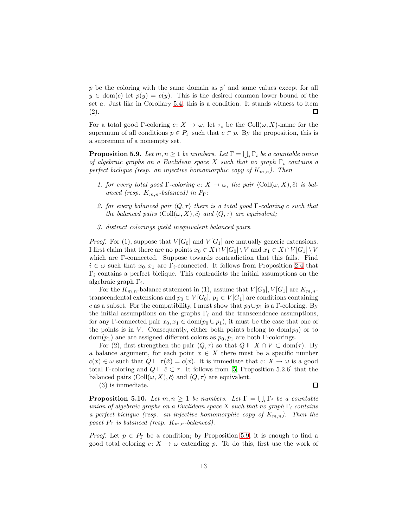$p$  be the coloring with the same domain as  $p'$  and same values except for all  $y \in \text{dom}(c)$  let  $p(y) = c(y)$ . This is the desired common lower bound of the set a. Just like in Corollary [5.4,](#page-10-0) this is a condition. It stands witness to item (2).  $\Box$ 

For a total good Γ-coloring  $c: X \to \omega$ , let  $\tau_c$  be the Coll $(\omega, X)$ -name for the supremum of all conditions  $p \in P_{\Gamma}$  such that  $c \subset p$ . By the proposition, this is a supremum of a nonempty set.

<span id="page-12-0"></span>**Proposition 5.9.** *Let*  $m, n \geq 1$  *be numbers. Let*  $\Gamma = \bigcup_i \Gamma_i$  *be a countable union of algebraic graphs on a Euclidean space* X *such that no graph*  $\Gamma_i$  *contains a perfect biclique (resp. an injective homomorphic copy of*  $K_{m,n}$ ). Then

- *1. for every total good*  $\Gamma$ *-coloring*  $c: X \to \omega$ , the pair  $\langle \text{Coll}(\omega, X), \check{c} \rangle$  is bal*anced (resp.*  $K_{m,n}$ *-balanced) in*  $P_{\Gamma}$ *;*
- *2. for every balanced pair*  $\langle Q, \tau \rangle$  *there is a total good* Γ*-coloring* c *such that the balanced pairs*  $\langle \text{Coll}(\omega, X), \check{c} \rangle$  *and*  $\langle Q, \tau \rangle$  *are equivalent;*
- *3. distinct colorings yield inequivalent balanced pairs.*

*Proof.* For (1), suppose that  $V[G_0]$  and  $V[G_1]$  are mutually generic extensions. I first claim that there are no points  $x_0 \in X \cap V[G_0] \setminus V$  and  $x_1 \in X \cap V[G_1] \setminus V$ which are Γ-connected. Suppose towards contradiction that this fails. Find  $i \in \omega$  such that  $x_0, x_1$  are  $\Gamma_i$ -connected. It follows from Proposition [2.4](#page-3-1) that  $\Gamma_i$  contains a perfect biclique. This contradicts the initial assumptions on the algebraic graph  $\Gamma_i$ .

For the  $K_{m,n}$ -balance statement in (1), assume that  $V[G_0], V[G_1]$  are  $K_{m,n}$ transcendental extensions and  $p_0 \in V[G_0], p_1 \in V[G_1]$  are conditions containing c as a subset. For the compatibility, I must show that  $p_0 \cup p_1$  is a Γ-coloring. By the initial assumptions on the graphs  $\Gamma_i$  and the transcendence assumptions, for any Γ-connected pair  $x_0, x_1 \in \text{dom}(p_0 \cup p_1)$ , it must be the case that one of the points is in V. Consequently, either both points belong to  $dom(p_0)$  or to dom $(p_1)$  ane are assigned different colors as  $p_0, p_1$  are both Γ-colorings.

For (2), first strengthen the pair  $\langle Q, \tau \rangle$  so that  $Q \Vdash X \cap V \subset \text{dom}(\tau)$ . By a balance argument, for each point  $x \in X$  there must be a specific number  $c(x) \in \omega$  such that  $Q \Vdash \tau(\check{x}) = c(x)$ . It is immediate that  $c \colon X \to \omega$  is a good total Γ-coloring and  $Q \Vdash \check{c} \subset \tau$ . It follows from [\[5,](#page-13-3) Proposition 5.2.6] that the balanced pairs  $\langle \text{Coll}(\omega, X), \check{c} \rangle$  and  $\langle Q, \tau \rangle$  are equivalent.

(3) is immediate.

 $\Box$ 

**Proposition 5.10.** *Let*  $m, n \geq 1$  *be numbers. Let*  $\Gamma = \bigcup_i \Gamma_i$  *be a countable union of algebraic graphs on a Euclidean space* X *such that no graph*  $\Gamma_i$  *contains a perfect biclique (resp. an injective homomorphic copy of*  $K_{m,n}$ *). Then the poset*  $P_{\Gamma}$  *is balanced (resp.*  $K_{m,n}$ *-balanced).* 

*Proof.* Let  $p \in P_{\Gamma}$  be a condition; by Proposition [5.9,](#page-12-0) it is enough to find a good total coloring  $c: X \to \omega$  extending p. To do this, first use the work of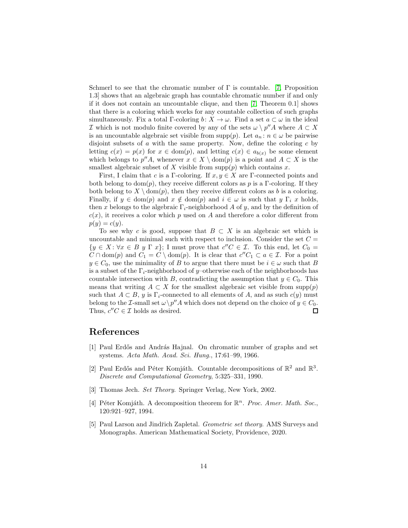Schmerl to see that the chromatic number of  $\Gamma$  is countable. [\[7,](#page-14-1) Proposition 1.3] shows that an algebraic graph has countable chromatic number if and only if it does not contain an uncountable clique, and then [\[7,](#page-14-1) Theorem 0.1] shows that there is a coloring which works for any countable collection of such graphs simultaneously. Fix a total Γ-coloring  $b: X \to \omega$ . Find a set  $a \subset \omega$  in the ideal *I* which is not modulo finite covered by any of the sets  $\omega \setminus p''A$  where  $A \subset X$ is an uncountable algebraic set visible from supp $(p)$ . Let  $a_n : n \in \omega$  be pairwise disjoint subsets of  $\alpha$  with the same property. Now, define the coloring  $\alpha$  by letting  $c(x) = p(x)$  for  $x \in \text{dom}(p)$ , and letting  $c(x) \in a_{b(x)}$  be some element which belongs to  $p''A$ , whenever  $x \in X \setminus \text{dom}(p)$  is a point and  $A \subset X$  is the smallest algebraic subset of X visible from  $\text{supp}(p)$  which contains x.

First, I claim that c is a Γ-coloring. If  $x, y \in X$  are Γ-connected points and both belong to dom(p), they receive different colors as p is a Γ-coloring. If they both belong to  $X \setminus \text{dom}(p)$ , then they receive different colors as b is a coloring. Finally, if  $y \in \text{dom}(p)$  and  $x \notin \text{dom}(p)$  and  $i \in \omega$  is such that  $y \Gamma_i x$  holds, then x belongs to the algebraic  $\Gamma_i$ -neighborhood A of y, and by the definition of  $c(x)$ , it receives a color which p used on A and therefore a color different from  $p(y) = c(y).$ 

To see why c is good, suppose that  $B \subset X$  is an algebraic set which is uncountable and minimal such with respect to inclusion. Consider the set  $C =$  ${y \in X : \forall x \in B \ y \Gamma \ x}$ ; I must prove that  $c''C \in \mathcal{I}$ . To this end, let  $C_0 =$  $C \cap \text{dom}(p)$  and  $C_1 = C \setminus \text{dom}(p)$ . It is clear that  $c''C_1 \subset a \in \mathcal{I}$ . For a point  $y \in C_0$ , use the minimality of B to argue that there must be  $i \in \omega$  such that B is a subset of the  $\Gamma_i$ -neighborhood of y–otherwise each of the neighborhoods has countable intersection with B, contradicting the assumption that  $y \in C_0$ . This means that writing  $A \subset X$  for the smallest algebraic set visible from supp $(p)$ such that  $A \subset B$ , y is  $\Gamma_i$ -connected to all elements of A, and as such  $c(y)$  must belong to the *I*-small set  $\omega \backslash p''A$  which does not depend on the choice of  $y \in C_0$ . Thus,  $c''C \in \mathcal{I}$  holds as desired.  $\Box$ 

#### <span id="page-13-2"></span>References

- [1] Paul Erdős and András Hajnal. On chromatic number of graphs and set systems. *Acta Math. Acad. Sci. Hung.*, 17:61–99, 1966.
- <span id="page-13-1"></span>[2] Paul Erdős and Péter Komjáth. Countable decompositions of  $\mathbb{R}^2$  and  $\mathbb{R}^3$ . *Discrete and Computational Geometry*, 5:325–331, 1990.
- <span id="page-13-4"></span><span id="page-13-0"></span>[3] Thomas Jech. *Set Theory*. Springer Verlag, New York, 2002.
- [4] Péter Komjáth. A decomposition theorem for  $\mathbb{R}^n$ . *Proc. Amer. Math. Soc.*, 120:921–927, 1994.
- <span id="page-13-3"></span>[5] Paul Larson and Jindřich Zapletal. *Geometric set theory*. AMS Surveys and Monographs. American Mathematical Society, Providence, 2020.